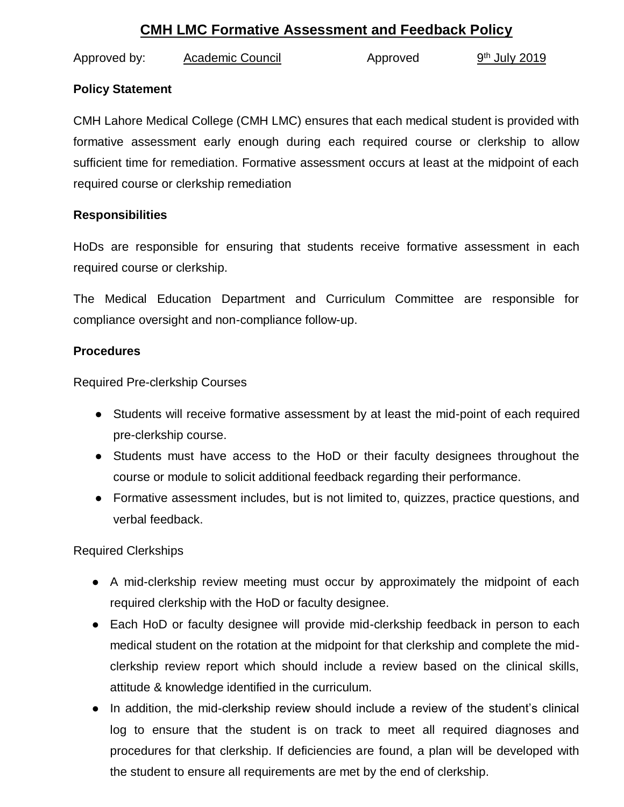# **CMH LMC Formative Assessment and Feedback Policy**

Approved by: Academic Council Approved  $9<sup>th</sup>$  July 2019

## **Policy Statement**

CMH Lahore Medical College (CMH LMC) ensures that each medical student is provided with formative assessment early enough during each required course or clerkship to allow sufficient time for remediation. Formative assessment occurs at least at the midpoint of each required course or clerkship remediation

## **Responsibilities**

HoDs are responsible for ensuring that students receive formative assessment in each required course or clerkship.

The Medical Education Department and Curriculum Committee are responsible for compliance oversight and non-compliance follow-up.

#### **Procedures**

Required Pre-clerkship Courses

- Students will receive formative assessment by at least the mid-point of each required pre-clerkship course.
- Students must have access to the HoD or their faculty designees throughout the course or module to solicit additional feedback regarding their performance.
- Formative assessment includes, but is not limited to, quizzes, practice questions, and verbal feedback.

Required Clerkships

- A mid-clerkship review meeting must occur by approximately the midpoint of each required clerkship with the HoD or faculty designee.
- Each HoD or faculty designee will provide mid-clerkship feedback in person to each medical student on the rotation at the midpoint for that clerkship and complete the midclerkship review report which should include a review based on the clinical skills, attitude & knowledge identified in the curriculum.
- In addition, the mid-clerkship review should include a review of the student's clinical log to ensure that the student is on track to meet all required diagnoses and procedures for that clerkship. If deficiencies are found, a plan will be developed with the student to ensure all requirements are met by the end of clerkship.